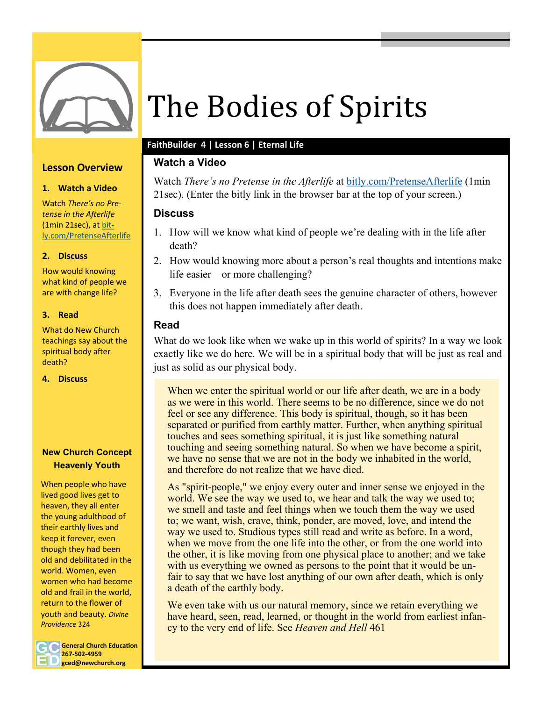

## **Lesson Overview**

#### **1. Watch a Video**

Watch *There's no Pretense in the Afterlife*  (1min 21sec), at [bit](https://www.youtube.com/watch?v=rmiOhjYvNvg)[ly.com/PretenseAfterlife](https://www.youtube.com/watch?v=rmiOhjYvNvg)

#### **2. Discuss**

How would knowing what kind of people we are with change life?

#### **3. Read**

What do New Church teachings say about the spiritual body after death?

**4. Discuss**

## **New Church Concept Heavenly Youth**

When people who have lived good lives get to heaven, they all enter the young adulthood of their earthly lives and keep it forever, even though they had been old and debilitated in the world. Women, even women who had become old and frail in the world, return to the flower of youth and beauty. *Divine Providence* 324

**General Church Education 267-502-4959 gced@newchurch.org**

# The Bodies of Spirits

# **FaithBuilder 4 | Lesson 6 | Eternal Life**

# **Watch a Video**

Watch *There's no Pretense in the Afterlife* at [bitly.com/PretenseAfterlife](https://www.youtube.com/watch?v=rmiOhjYvNvg) (1min 21sec). (Enter the bitly link in the browser bar at the top of your screen.)

# **Discuss**

- 1. How will we know what kind of people we're dealing with in the life after death?
- 2. How would knowing more about a person's real thoughts and intentions make life easier—or more challenging?
- 3. Everyone in the life after death sees the genuine character of others, however this does not happen immediately after death.

# **Read**

What do we look like when we wake up in this world of spirits? In a way we look exactly like we do here. We will be in a spiritual body that will be just as real and just as solid as our physical body.

When we enter the spiritual world or our life after death, we are in a body as we were in this world. There seems to be no difference, since we do not feel or see any difference. This body is spiritual, though, so it has been separated or purified from earthly matter. Further, when anything spiritual touches and sees something spiritual, it is just like something natural touching and seeing something natural. So when we have become a spirit, we have no sense that we are not in the body we inhabited in the world, and therefore do not realize that we have died.

As "spirit-people," we enjoy every outer and inner sense we enjoyed in the world. We see the way we used to, we hear and talk the way we used to; we smell and taste and feel things when we touch them the way we used to; we want, wish, crave, think, ponder, are moved, love, and intend the way we used to. Studious types still read and write as before. In a word, when we move from the one life into the other, or from the one world into the other, it is like moving from one physical place to another; and we take with us everything we owned as persons to the point that it would be unfair to say that we have lost anything of our own after death, which is only a death of the earthly body.

We even take with us our natural memory, since we retain everything we have heard, seen, read, learned, or thought in the world from earliest infancy to the very end of life. See *Heaven and Hell* 461